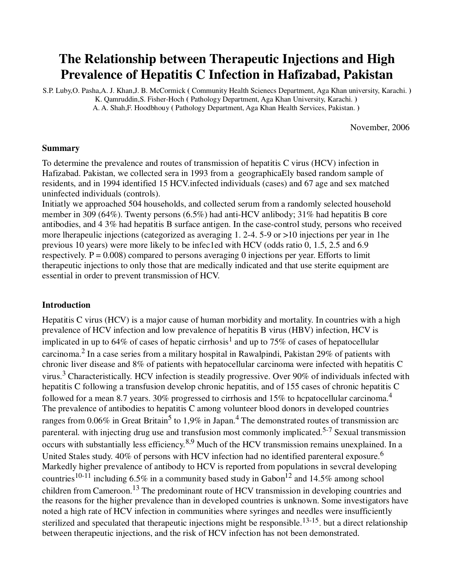# **The Relationship between Therapeutic Injections and High Prevalence of Hepatitis C Infection in Hafizabad, Pakistan**

S.P. Luby,O. Pasha,A. J. Khan,J. B. McCormick **(** Community Health Scienecs Department, Aga Khan university, Karachi. **)** K. Qamruddin,S. Fisher-Hoch **(** Pathology Department, Aga Khan University, Karachi. **)**  A. A. Shah,F. Hoodbhouy **(** Pathology Department, Aga Khan Health Services, Pakistan. **)** 

November, 2006

## **Summary**

To determine the prevalence and routes of transmission of hepatitis C virus (HCV) infection in Hafizabad. Pakistan, we collected sera in 1993 from a geographicaEly based random sample of residents, and in 1994 identified 15 HCV.infected individuals (cases) and 67 age and sex matched uninfected individuals (controls).

Initiatly we approached 504 households, and collected serum from a randomly selected household member in 309 (64%). Twenty persons (6.5%) had anti-HCV anlibody; 31% had hepatitis B core antibodies, and 4 3% had hepatitis B surface antigen. In the case-control study, persons who received more lherapeulic injections (categorized as averaging 1. 2-4. 5-9 or >10 injections per year in 1he previous 10 years) were more likely to be infec1ed with HCV (odds ratio 0, 1.5, 2.5 and 6.9 respectively.  $P = 0.008$  compared to persons averaging 0 injections per year. Efforts to limit therapeutic injections to only those that are medically indicated and that use sterite equipment are essential in order to prevent transmission of HCV.

## **Introduction**

Hepatitis C virus (HCV) is a major cause of human morbidity and mortality. In countries with a high prevalence of HCV infection and low prevalence of hepatitis B virus (HBV) infection, HCV is implicated in up to 64% of cases of hepatic cirrhosis<sup>1</sup> and up to 75% of cases of hepatocellular carcinoma.<sup>2</sup> In a case series from a military hospital in Rawalpindi, Pakistan 29% of patients with chronic liver disease and 8% of patients with hepatocellular carcinoma were infected with hepatitis C virus.<sup>3</sup> Characteristically. HCV infection is steadily progressive. Over 90% of individuals infected with hepatitis C following a transfusion develop chronic hepatitis, and of 155 cases of chronic hepatitis C followed for a mean 8.7 years. 30% progressed to cirrhosis and 15% to hepatocellular carcinoma.<sup>4</sup> The prevalence of antibodies to hepatitis C among volunteer blood donors in developed countries ranges from 0.06% in Great Britain<sup>5</sup> to 1,9% in Japan.<sup>4</sup> The demonstrated routes of transmission arc parenteral. with injecting drug use and transfusion most commonly implicated.<sup>5-7</sup> Sexual transmission occurs with substantially less efficiency.<sup>8,9</sup> Much of the HCV transmission remains unexplained. In a United Stales study. 40% of persons with HCV infection had no identified parenteral exposure.<sup>6</sup> Markedly higher prevalence of antibody to HCV is reported from populations in sevcral developing countries<sup>10-11</sup> including 6.5% in a community based study in Gabon<sup>12</sup> and 14.5% among school children from Cameroon.13 The predominant route of HCV transmission in developing countries and the reasons for the higher prevalence than in developed countries is unknown. Some investigators have noted a high rate of HCV infection in communities where syringes and needles were insufficiently sterilized and speculated that therapeutic injections might be responsible.<sup>13-15</sup>, but a direct relationship between therapeutic injections, and the risk of HCV infection has not been demonstrated.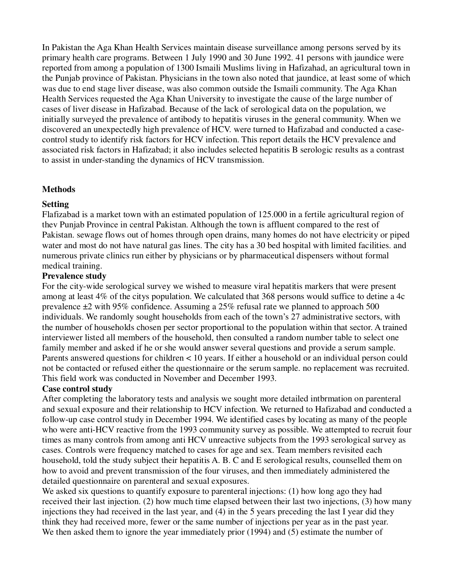In Pakistan the Aga Khan Health Services maintain disease surveillance among persons served by its primary health care programs. Between 1 July 1990 and 30 June 1992. 41 persons with jaundice were reported from among a population of 1300 Ismaili Muslims living in Hafizahad, an agricultural town in the Punjab province of Pakistan. Physicians in the town also noted that jaundice, at least some of which was due to end stage liver disease, was also common outside the Ismaili community. The Aga Khan Health Services requested the Aga Khan University to investigate the cause of the large number of cases of liver disease in Hafizabad. Because of the lack of serological data on the population, we initially surveyed the prevalence of antibody to hepatitis viruses in the general community. When we discovered an unexpectedly high prevalence of HCV. were turned to Hafizabad and conducted a casecontrol study to identify risk factors for HCV infection. This report details the HCV prevalence and associated risk factors in Hafizabad; it also includes selected hepatitis B serologic results as a contrast to assist in under-standing the dynamics of HCV transmission.

## **Methods**

## **Setting**

Flafizabad is a market town with an estimated population of 125.000 in a fertile agricultural region of thev Punjab Province in central Pakistan. Although the town is affluent compared to the rest of Pakistan. sewage flows out of homes through open drains, many homes do not have electricity or piped water and most do not have natural gas lines. The city has a 30 bed hospital with limited facilities. and numerous private clinics run either by physicians or by pharmaceutical dispensers without formal medical training.

## **Prevalence study**

For the city-wide serological survey we wished to measure viral hepatitis markers that were present among at least 4% of the citys population. We calculated that 368 persons would suffice to detine a 4c prevalence ±2 with 95% confidence. Assuming a 25% refusal rate we planned to approach 500 individuals. We randomly sought households from each of the town's 27 administrative sectors, with the number of households chosen per sector proportional to the population within that sector. A trained interviewer listed all members of the household, then consulted a random number table to select one family member and asked if he or she would answer several questions and provide a serum sample. Parents answered questions for children < 10 years. If either a household or an individual person could not be contacted or refused either the questionnaire or the serum sample. no replacement was recruited. This field work was conducted in November and December 1993.

## **Case control study**

After completing the laboratory tests and analysis we sought more detailed intbrmation on parenteral and sexual exposure and their relationship to HCV infection. We returned to Hafizabad and conducted a follow-up case control study in December 1994. We identified cases by locating as many of the people who were anti-HCV reactive from the 1993 community survey as possible. We attempted to recruit four times as many controls from among anti HCV unreactive subjects from the 1993 serological survey as cases. Controls were frequency matched to cases for age and sex. Team members revisited each household, told the study subject their hepatitis A. B. C and E serological results, counselled them on how to avoid and prevent transmission of the four viruses, and then immediately administered the detailed questionnaire on parenteral and sexual exposures.

We asked six questions to quantify exposure to parenteral injections: (1) how long ago they had received their last injection. (2) how much time elapsed between their last two injections, (3) how many injections they had received in the last year, and (4) in the 5 years preceding the last I year did they think they had received more, fewer or the same number of injections per year as in the past year. We then asked them to ignore the year immediately prior (1994) and (5) estimate the number of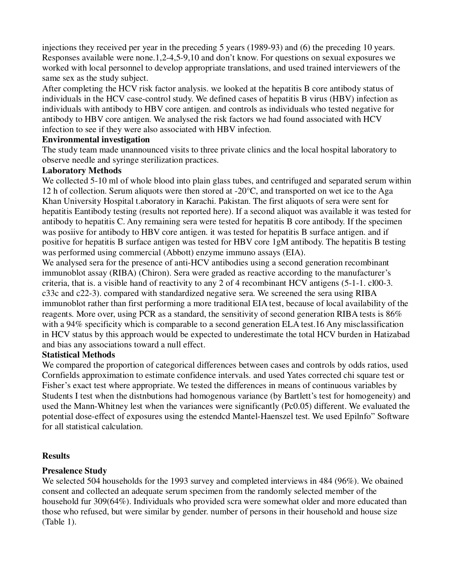injections they received per year in the preceding 5 years (1989-93) and (6) the preceding 10 years. Responses available were none.1,2-4,5-9,10 and don't know. For questions on sexual exposures we worked with local personnel to develop appropriate translations, and used trained interviewers of the same sex as the study subject.

After completing the HCV risk factor analysis. we looked at the hepatitis B core antibody status of individuals in the HCV case-control study. We defined cases of hepatitis B virus (HBV) infection as individuals with antibody to HBV core antigen. and controls as individuals who tested negative for antibody to HBV core antigen. We analysed the risk factors we had found associated with HCV infection to see if they were also associated with HBV infection.

## **Environmental investigation**

The study team made unannounced visits to three private clinics and the local hospital laboratory to observe needle and syringe sterilization practices.

# **Laboratory Methods**

We collected 5-10 ml of whole blood into plain glass tubes, and centrifuged and separated serum within 12 h of collection. Serum aliquots were then stored at -20°C, and transported on wet ice to the Aga Khan University Hospital t.aboratory in Karachi. Pakistan. The first aliquots of sera were sent for hepatitis Eantibody testing (results not reported here). If a second aliquot was available it was tested for antibody to hepatitis C. Any remaining sera were tested for hepatitis B core antibody. If the specimen was posiive for antibody to HBV core antigen. it was tested for hepatitis B surface antigen. and if positive for hepatitis B surface antigen was tested for HBV core 1gM antibody. The hepatitis B testing was performed using commercial (Abbott) enzyme immuno assays (EIA).

We analysed sera for the presence of anti-HCV antibodies using a second generation recombinant immunoblot assay (RIBA) (Chiron). Sera were graded as reactive according to the manufacturer's criteria, that is. a visible hand of reactivity to any 2 of 4 recombinant HCV antigens (5-1-1. cl00-3. c33c and c22-3). compared with standardized negative sera. We screened the sera using RIBA immunoblot rather than first performing a more traditional EIA test, because of local availability of the reagents. More over, using PCR as a standard, the sensitivity of second generation RIBA tests is 86% with a 94% specificity which is comparable to a second generation ELA test.16 Any misclassification in HCV status by this approach would be expected to underestimate the total HCV burden in Hatizabad and bias any associations toward a null effect.

# **Statistical Methods**

We compared the proportion of categorical differences between cases and controls by odds ratios, used Cornfields approximation to estimate confidence intervals. and used Yates corrected chi square test or Fisher's exact test where appropriate. We tested the differences in means of continuous variables by Students I test when the distnbutions had homogenous variance (by Bartlett's test for homogeneity) and used the Mann-Whitney lest when the variances were significantly (Pc0.05) different. We evaluated the potential dose-effect of exposures using the estendcd Mantel-Haenszel test. We used Epilnfo" Software for all statistical calculation.

# **Results**

# **Presalence Study**

We selected 504 households for the 1993 survey and completed interviews in 484 (96%). We obained consent and collected an adequate serum specimen from the randomly selected member of the household fur 309(64%). Individuals who provided scra were somewhat older and more educated than those who refused, but were similar by gender. number of persons in their household and house size (Table 1).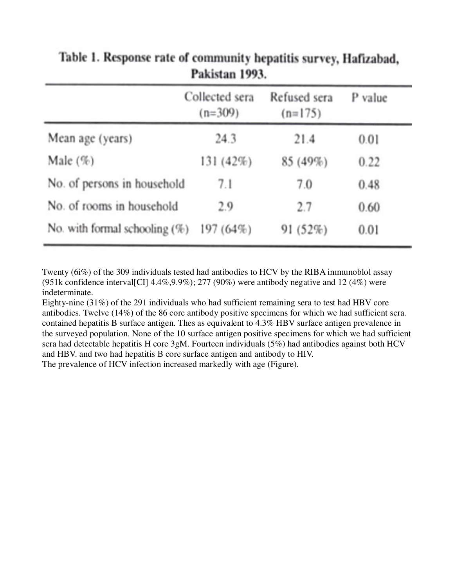|                                  | Collected sera<br>$(n=309)$ | Refused sera<br>$(n=175)$ | P value |  |
|----------------------------------|-----------------------------|---------------------------|---------|--|
| Mean age (years)                 | 24.3                        | 21.4                      | 0.01    |  |
| Male $(\%)$                      | 131(42%)                    | 85 (49%)                  | 0.22    |  |
| No. of persons in household      | 7.1                         | 7.0                       | 0.48    |  |
| No. of rooms in household        | 2.9                         | 2.7                       | 0.60    |  |
| No. with formal schooling $(\%)$ | $197(64\%)$                 | 91(52%)                   | 0.01    |  |

Table 1. Response rate of community hepatitis survey, Hafizabad, Pakistan 1993.

Twenty (6i%) of the 309 individuals tested had antibodies to HCV by the RIBA immunoblol assay (951k confidence interval CI]  $4.4\%, 9.9\%$ ); 277 (90%) were antibody negative and 12 (4%) were indeterminate.

Eighty-nine (31%) of the 291 individuals who had sufficient remaining sera to test had HBV core antibodies. Twelve (14%) of the 86 core antibody positive specimens for which we had sufficient scra. contained hepatitis B surface antigen. Thes as equivalent to 4.3% HBV surface antigen prevalence in the surveyed population. None of the 10 surface antigen positive specimens for which we had sufficient scra had detectable hepatitis H core 3gM. Fourteen individuals (5%) had antibodies against both HCV and HBV. and two had hepatitis B core surface antigen and antibody to HIV. The prevalence of HCV infection increased markedly with age (Figure).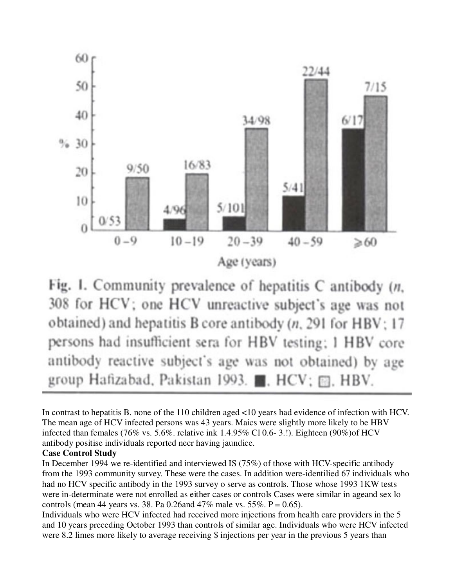



In contrast to hepatitis B. none of the 110 children aged <10 years had evidence of infection with HCV. The mean age of HCV infected persons was 43 years. Maics were slightly more likely to be HBV infected than females (76% vs. 5.6%. relative ink 1.4.95% Cl 0.6- 3.!). Eighteen (90%)of HCV antibody positise individuals reported necr having jaundice.

## **Case Control Study**

In December 1994 we re-identified and interviewed IS (75%) of those with HCV-specific antibody from the 1993 community survey. These were the cases. In addition were-identilied 67 individuals who had no HCV specific antibody in the 1993 survey o serve as controls. Those whose 1993 1KW tests were in-determinate were not enrolled as either cases or controls Cases were similar in ageand sex lo controls (mean 44 years vs. 38. Pa 0.26and 47% male vs. 55%.  $P = 0.65$ ).

Individuals who were HCV infected had received more injections from health care providers in the 5 and 10 years preceding October 1993 than controls of similar age. Individuals who were HCV infected were 8.2 limes more likely to average receiving \$ injections per year in the previous 5 years than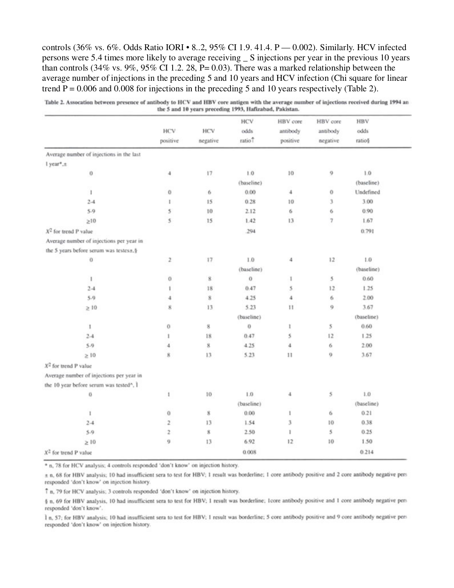controls (36% vs. 6%. Odds Ratio IORI • 8..2, 95% CI 1.9. 41.4. P — 0.002). Similarly. HCV infected persons were 5.4 times more likely to average receiving S injections per year in the previous 10 years than controls (34% vs. 9%, 95% CI 1.2. 28, P= 0.03). There was a marked relationship between the average number of injections in the preceding 5 and 10 years and HCV infection (Chi square for linear trend  $P = 0.006$  and 0.008 for injections in the preceding 5 and 10 years respectively (Table 2).

|                                                      | <b>HCV</b><br>positive  | HCV<br>negative | HCV<br>odds<br>ratio? | HBV core<br>antibody<br>positive | HBV core<br>antibody<br>negative | HBV<br>odds<br>ratio§ |
|------------------------------------------------------|-------------------------|-----------------|-----------------------|----------------------------------|----------------------------------|-----------------------|
|                                                      |                         |                 |                       |                                  |                                  |                       |
|                                                      |                         |                 |                       |                                  |                                  |                       |
| Average number of injections in the last             |                         |                 |                       |                                  |                                  |                       |
| l year*.±                                            |                         |                 |                       |                                  |                                  |                       |
| 0                                                    | 4                       | 17              | 1.0                   | 10                               | 9                                | 1.0                   |
|                                                      |                         |                 | (baseline)            |                                  |                                  | (baseline)            |
| 1                                                    | 0                       | 6               | 0.00                  | $\boldsymbol{4}$                 | o                                | Undefined             |
| $2-4$                                                | ı.                      | 15              | 0.28                  | 10                               | 3                                | 3.00                  |
| 5.9                                                  | 5                       | 10              | 2.12                  | 6                                | 6                                | 0.90                  |
| $\geq 10$                                            | 5                       | 15              | 1.42                  | 13                               | $\overline{\tau}$                | 1.67                  |
| $X^2$ for trend P value                              |                         |                 | .294                  |                                  |                                  | 0.791                 |
| Average number of injections per year in             |                         |                 |                       |                                  |                                  |                       |
| the 5 years before serum was testes.t§               |                         |                 |                       |                                  |                                  |                       |
| $\bf{0}$                                             | 2                       | 17              | 1.0                   | $\ddot{4}$                       | 12                               | 1.0                   |
|                                                      | (baseline)              |                 |                       |                                  | (baseline)                       |                       |
| 1                                                    | 0                       | 8               | $\bf{0}$              | 1                                | 5                                | 0.60                  |
| $2 - 4$                                              | t                       | 18              | 0.47                  | 5                                | 12                               | 1.25                  |
| 5.9                                                  | 4                       | 8               | 4.25                  | $\ddot{a}$                       | 6                                | 2.00                  |
| $\geq 10$                                            | 8                       | 13              | 5.23                  | 11                               | 9                                | 3.67                  |
|                                                      | (baseline)              |                 |                       |                                  | (baseline)                       |                       |
| 1                                                    | 0                       | 8               | $^{\circ}$            | 1                                | 5                                | 0.60                  |
| $2-4$                                                | 1                       | 18              | 0.47                  | 5                                | 12                               | 1.25                  |
| 5.9                                                  | 4                       | 8               | 4.25                  | 4                                | 6                                | 2.00                  |
| $\geq 10$                                            | $\bf{g}$                | 13              | 5.23                  | 11                               | 9.                               | 3.67                  |
| $X2$ for trend P value                               |                         |                 |                       |                                  |                                  |                       |
| Average number of injections per year in             |                         |                 |                       |                                  |                                  |                       |
| the 10 year before serum was tested <sup>®</sup> , I |                         |                 |                       |                                  |                                  |                       |
| Ü                                                    | 1                       | 10              | 1.0                   | $4\,$                            | 5                                | 1.0                   |
|                                                      | (baseline)              |                 |                       | (baseline)                       |                                  |                       |
| 1                                                    | Ü                       | $\bf{8}$        | 0.00                  | 1                                | 6                                | 0.21                  |
| $2-4$                                                | 2                       | 13              | 1.54                  | 3                                | 10                               | 0.38                  |
| $5-9$                                                | $\overline{\mathbf{z}}$ | 8               | 2.50                  | 1                                | 5                                | 0.25                  |
| $\geq 10$                                            | 9                       | 13              | 6.92                  | 12                               | 10                               | 1.50                  |
| $X2$ for trend P value                               |                         |                 | 0.008                 |                                  |                                  | 0.214                 |

Table 2. Assocation between presence of antibody to HCV and HBV core antigen with the average number of injections received during 1994 an the 5 and 10 years preceding 1993, Hafizabad, Pakistan.

\* n, 78 for HCV analysis; 4 controls responded 'don't know' on injection history.

± n, 68 for HBV analysis; 10 had insufficient sera to test for HBV; 1 result was borderline; 1 core antibody positive and 2 core antibody negative pers responded 'don't know' on injection history.

7 n, 79 for HCV analysis; 3 controls responded 'don't know' on injection history.

§ n, 69 for HBV analysis, 10 had insufficient sera to test for HBV; 1 result was borderline; 1core antibody positive and 1 core antibody negative pers responded 'don't know'.

1 n, 57; for HBV analysis; 10 had insufficient sera to test for HBV: 1 result was borderline; 5 core antibody positive and 9 core antibody negative pers responded 'don't know' on injection history.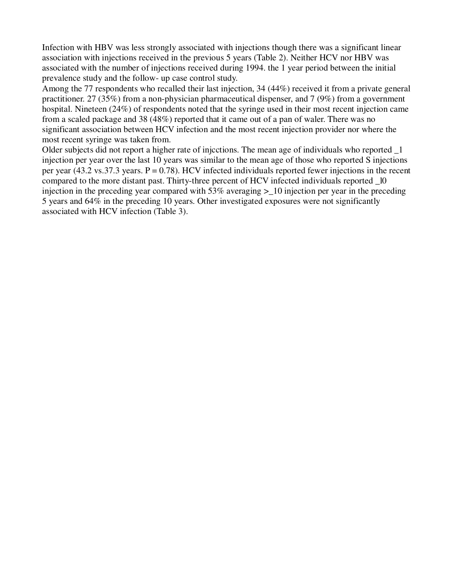Infection with HBV was less strongly associated with injections though there was a significant linear association with injections received in the previous 5 years (Table 2). Neither HCV nor HBV was associated with the number of injections received during 1994. the 1 year period between the initial prevalence study and the follow- up case control study.

Among the 77 respondents who recalled their last injection, 34 (44%) received it from a private general practitioner. 27 (35%) from a non-physician pharmaceutical dispenser, and 7 (9%) from a government hospital. Nineteen (24%) of respondents noted that the syringe used in their most recent injection came from a scaled package and 38 (48%) reported that it came out of a pan of waler. There was no significant association between HCV infection and the most recent injection provider nor where the most recent syringe was taken from.

Older subjects did not report a higher rate of injcctions. The mean age of individuals who reported \_1 injection per year over the last 10 years was similar to the mean age of those who reported S injections per year (43.2 vs.37.3 years.  $P = 0.78$ ). HCV infected individuals reported fewer injections in the recent compared to the more distant past. Thirty-three percent of HCV infected individuals reported \_l0 injection in the preceding year compared with 53% averaging >\_10 injection per year in the preceding 5 years and 64% in the preceding 10 years. Other investigated exposures were not significantly associated with HCV infection (Table 3).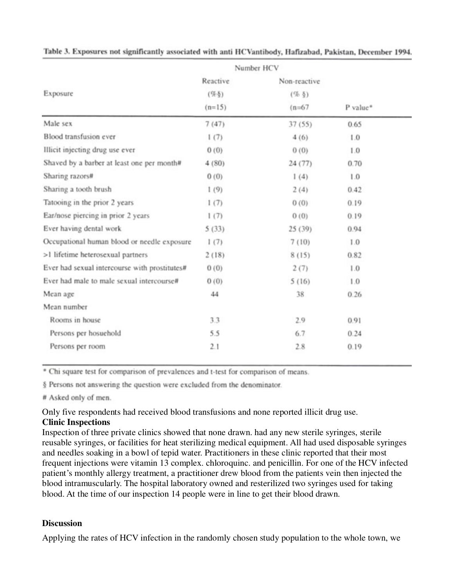|                                               | Number HCV |              |          |
|-----------------------------------------------|------------|--------------|----------|
| Exposure                                      | Reactive   | Non-reactive |          |
|                                               | $($ %§)    | $($ % $§$ )  | P value* |
|                                               | $(n=15)$   | $(n=67)$     |          |
| Male sex                                      | 7(47)      | 37(55)       | 0.65     |
| Blood transfusion ever                        | 1(7)       | 4(6)         | 1.0      |
| Illicit injecting drug use ever               | 0(0)       | 0(0)         | 1.0      |
| Shaved by a barber at least one per month#    | 4(80)      | 24(77)       | 0.70     |
| Sharing razors#                               | 0(0)       | 1(4)         | 1.0      |
| Sharing a tooth brush                         | 1(9)       | 2(4)         | 0.42     |
| Tatooing in the prior 2 years                 | 1(7)       | 0(0)         | 0.19     |
| Ear/nose piercing in prior 2 years            | 1(7)       | (0)          | 0.19     |
| Ever having dental work                       | 5(33)      | 25(39)       | 0.94     |
| Occupational human blood or needle exposure   | 1(7)       | 7(10)        | 1.0      |
| >1 lifetime heterosexual partners             | 2(18)      | 8(15)        | 0.82     |
| Ever had sexual intercourse with prostitutes# | 0(0)       | 2(7)         | 1.0      |
| Ever had male to male sexual intercourse#     | 0(0)       | 5(16)        | 1.0      |
| Mean age                                      | 44         | 38           | 0.26     |
| Mean number                                   |            |              |          |
| Rooms in house                                | 3.3        | 2.9          | 0.91     |
| Persons per hosuehold                         | 5.5        | 6.7          | 0.24     |
| Persons per room                              | 2.1        | 2.8          | 0.19     |

Table 3. Exposures not significantly associated with anti HCVantibody, Hafizabad, Pakistan, December 1994.

\* Chi square test for comparison of prevalences and t-test for comparison of means.

§ Persons not answering the question were excluded from the denominator.

# Asked only of men.

Only five respondents had received blood transfusions and none reported illicit drug use.

**Clinic Inspections**

Inspection of three private clinics showed that none drawn. had any new sterile syringes, sterile reusable syringes, or facilities for heat sterilizing medical equipment. All had used disposable syringes and needles soaking in a bowl of tepid water. Practitioners in these clinic reported that their most frequent injections were vitamin 13 complex. chloroquinc. and penicillin. For one of the HCV infected patient's monthly allergy treatment, a practitioner drew blood from the patients vein then injected the blood intramuscularly. The hospital laboratory owned and resterilized two syringes used for taking blood. At the time of our inspection 14 people were in line to get their blood drawn.

## **Discussion**

Applying the rates of HCV infection in the randomly chosen study population to the whole town, we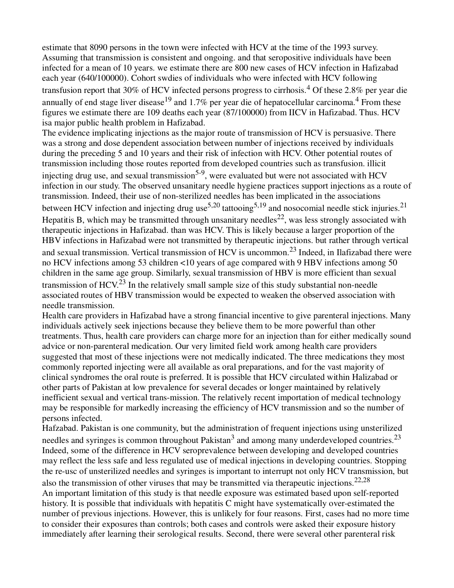estimate that 8090 persons in the town were infected with HCV at the time of the 1993 survey. Assuming that transmission is consistent and ongoing. and that seropositive individuals have been infected for a mean of 10 years. we estimate there are 800 new cases of HCV infection in Hafizabad each year (640/100000). Cohort swdies of individuals who were infected with HCV following transfusion report that 30% of HCV infected persons progress to cirrhosis.<sup>4</sup> Of these 2.8% per year die annually of end stage liver disease<sup>19</sup> and 1.7% per year die of hepatocellular carcinoma.<sup>4</sup> From these figures we estimate there are 109 deaths each year (87/100000) from IICV in Hafizabad. Thus. HCV isa major public health problem in Hafizabad.

The evidence implicating injections as the major route of transmission of HCV is persuasive. There was a strong and dose dependent association between number of injections received by individuals during the preceding 5 and 10 years and their risk of infection with HCV. Other potential routes of transmission including those routes reported from developed countries such as transfusion. illicit injecting drug use, and sexual transmission<sup>5-9</sup>, were evaluated but were not associated with HCV infection in our study. The observed unsanitary needle hygiene practices support injections as a route of transmission. Indeed, their use of non-sterilized needles has been implicated in the associations between HCV infection and injecting drug use<sup>5,20</sup> tattooing<sup>5,19</sup> and nosocomial needle stick injuries.<sup>21</sup> Hepatitis B, which may be transmitted through unsanitary needles<sup>22</sup>, was less strongly associated with therapeutic injections in Hafizabad. than was HCV. This is likely because a larger proportion of the HBV infections in Hafizabad were not transmitted by therapeutic injections. but rather through vertical and sexual transmission. Vertical transmission of HCV is uncommon.23 Indeed, in Ilafizabad there were no HCV infections among 53 children <10 years of age compared with 9 HBV infections among 50 children in the same age group. Similarly, sexual transmission of HBV is more efficient than sexual transmission of  $HCV<sup>23</sup>$  In the relatively small sample size of this study substantial non-needle associated routes of HBV transmission would be expected to weaken the observed association with needle transmission.

Health care providers in Hafizabad have a strong financial incentive to give parenteral injections. Many individuals actively seek injections because they believe them to be more powerful than other treatments. Thus, health care providers can charge more for an injection than for either medically sound advice or non-parenteral medication. Our very limited field work among health care providers suggested that most of these injections were not medically indicated. The three medications they most commonly reported injecting were all available as oral preparations, and for the vast majority of clinical syndromes the oral route is preferred. It is possible that HCV circulated within Halizabad or other parts of Pakistan at low prevalence for several decades or longer maintained by relatively inefficient sexual and vertical trans-mission. The relatively recent importation of medical technology may be responsible for markedly increasing the efficiency of HCV transmission and so the number of persons infected.

Hafzabad. Pakistan is one community, but the administration of frequent injections using unsterilized needles and syringes is common throughout Pakistan<sup>3</sup> and among many underdeveloped countries.<sup>23</sup> Indeed, some of the difference in HCV seroprevalence between developing and developed countries may reflect the less safe and less regulated use of medical injections in developing countries. Stopping the re-usc of unsterilized needles and syringes is important to interrupt not only HCV transmission, but also the transmission of other viruses that may be transmitted via therapeutic injections.<sup>22,28</sup> An important limitation of this study is that needle exposure was estimated based upon self-reported history. It is possible that individuals with hepatitis C might have systematically over-estimated the number of previous injections. However, this is unlikely for four reasons. First, cases had no more time to consider their exposures than controls; both cases and controls were asked their exposure history immediately after learning their serological results. Second, there were several other parenteral risk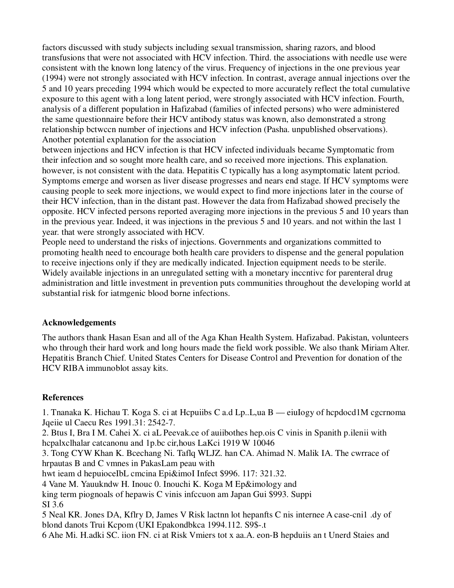factors discussed with study subjects including sexual transmission, sharing razors, and blood transfusions that were not associated with HCV infection. Third. the associations with needle use were consistent with the known long latency of the virus. Frequency of injections in the one previous year (1994) were not strongly associated with HCV infection. In contrast, average annual injections over the 5 and 10 years preceding 1994 which would be expected to more accurately reflect the total cumulative exposure to this agent with a long latent period, were strongly associated with HCV infection. Fourth, analysis of a different population in Hafizabad (families of infected persons) who were administered the same questionnaire before their HCV antibody status was known, also demonstrated a strong relationship bctwccn number of injections and HCV infection (Pasha. unpublished observations). Another potential explanation for the association

between injections and HCV infection is that HCV infected individuals became Symptomatic from their infection and so sought more health care, and so received more injections. This explanation. however, is not consistent with the data. Hepatitis C typically has a long asymptomatic latent pcriod. Symptoms emerge and worsen as liver disease progresses and nears end stage. If HCV symptoms were causing people to seek more injections, we would expect to find more injections later in the course of their HCV infection, than in the distant past. However the data from Hafizabad showed precisely the opposite. HCV infected persons reported averaging more injections in the previous 5 and 10 years than in the previous year. Indeed, it was injections in the previous 5 and 10 years. and not within the last 1 year. that were strongly associated with HCV.

People need to understand the risks of injections. Governments and organizations committed to promoting health need to encourage both health care providers to dispense and the general population to receive injections only if they are medically indicated. Injection equipment needs to be sterile. Widely available injections in an unregulated setting with a monetary inccntivc for parenteral drug administration and little investment in prevention puts communities throughout the developing world at substantial risk for iatmgenic blood borne infections.

## **Acknowledgements**

The authors thank Hasan Esan and all of the Aga Khan Health System. Hafizabad. Pakistan, volunteers who through their hard work and long hours made the field work possible. We also thank Miriam Alter. Hepatitis Branch Chief. United States Centers for Disease Control and Prevention for donation of the HCV RIBA immunoblot assay kits.

# **References**

1. Tnanaka K. Hichau T. Koga S. ci at Hcpuiibs C a.d Lp..L,ua B — eiuIogy of hcpdocd1M cgcrnoma Jqeiie ul Caecu Res 1991.31: 2542-7.

2. Btus I, Bra I M. Cahei X. ci aL Peevak.ce of auiibothes hep.ois C vinis in Spanith p.ilenii with hcpalxclhalar catcanonu and 1p.bc cir,hous LaKci 1919 W 10046

3. Tong CYW Khan K. Bcechang Ni. Taflq WLJZ. han CA. Ahimad N. Malik IA. The cwrrace of hrpautas B and C vmnes in PakasLam peau with

hwt ieam d hepuioceIbL cmcina Epi&imoI Infect \$996. 117: 321.32.

4 Vane M. Yauukndw H. Inouc 0. Inouchi K. Koga M Ep&imology and

king term piognoals of hepawis C vinis infccuon am Japan Gui \$993. Suppi SI 3.6

5 Neal KR. Jones DA, Kflry D, James V Risk lactnn lot hepanfts C nis internee A case-cni1 .dy of blond danots Trui Kcpom (UKI Epakondbkca 1994.112. S9\$-.t

6 Ahe Mi. H.adki SC. iion FN. ci at Risk Vmiers tot x aa.A. eon-B hepduiis an t Unerd Staies and